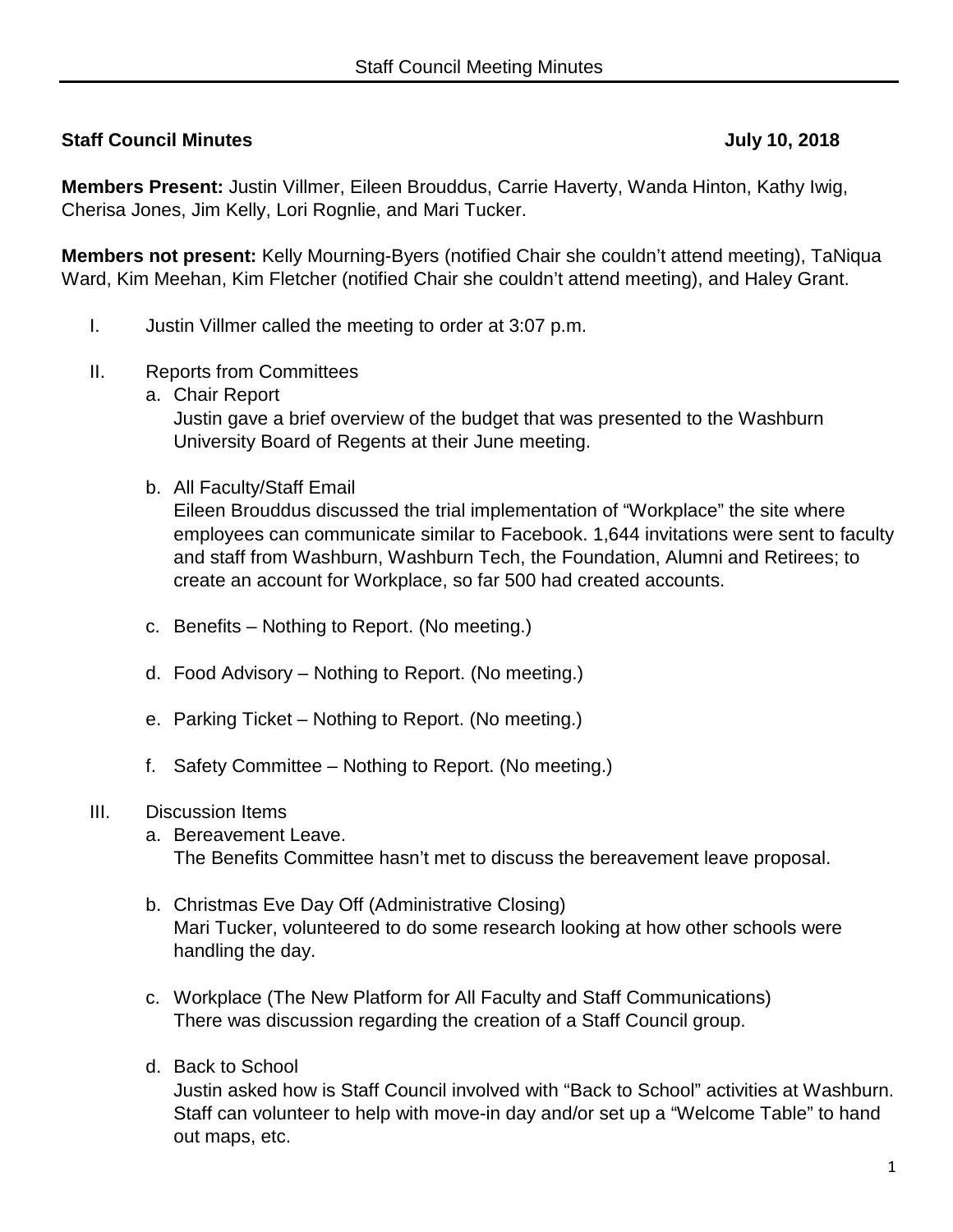# **Staff Council Minutes July 10, 2018**

**Members Present:** Justin Villmer, Eileen Brouddus, Carrie Haverty, Wanda Hinton, Kathy Iwig, Cherisa Jones, Jim Kelly, Lori Rognlie, and Mari Tucker.

**Members not present:** Kelly Mourning-Byers (notified Chair she couldn't attend meeting), TaNiqua Ward, Kim Meehan, Kim Fletcher (notified Chair she couldn't attend meeting), and Haley Grant.

- I. Justin Villmer called the meeting to order at 3:07 p.m.
- II. Reports from Committees
	- a. Chair Report

Justin gave a brief overview of the budget that was presented to the Washburn University Board of Regents at their June meeting.

b. All Faculty/Staff Email

Eileen Brouddus discussed the trial implementation of "Workplace" the site where employees can communicate similar to Facebook. 1,644 invitations were sent to faculty and staff from Washburn, Washburn Tech, the Foundation, Alumni and Retirees; to create an account for Workplace, so far 500 had created accounts.

- c. Benefits Nothing to Report. (No meeting.)
- d. Food Advisory Nothing to Report. (No meeting.)
- e. Parking Ticket Nothing to Report. (No meeting.)
- f. Safety Committee Nothing to Report. (No meeting.)

### III. Discussion Items

- a. Bereavement Leave. The Benefits Committee hasn't met to discuss the bereavement leave proposal.
- b. Christmas Eve Day Off (Administrative Closing) Mari Tucker, volunteered to do some research looking at how other schools were handling the day.
- c. Workplace (The New Platform for All Faculty and Staff Communications) There was discussion regarding the creation of a Staff Council group.
- d. Back to School

Justin asked how is Staff Council involved with "Back to School" activities at Washburn. Staff can volunteer to help with move-in day and/or set up a "Welcome Table" to hand out maps, etc.